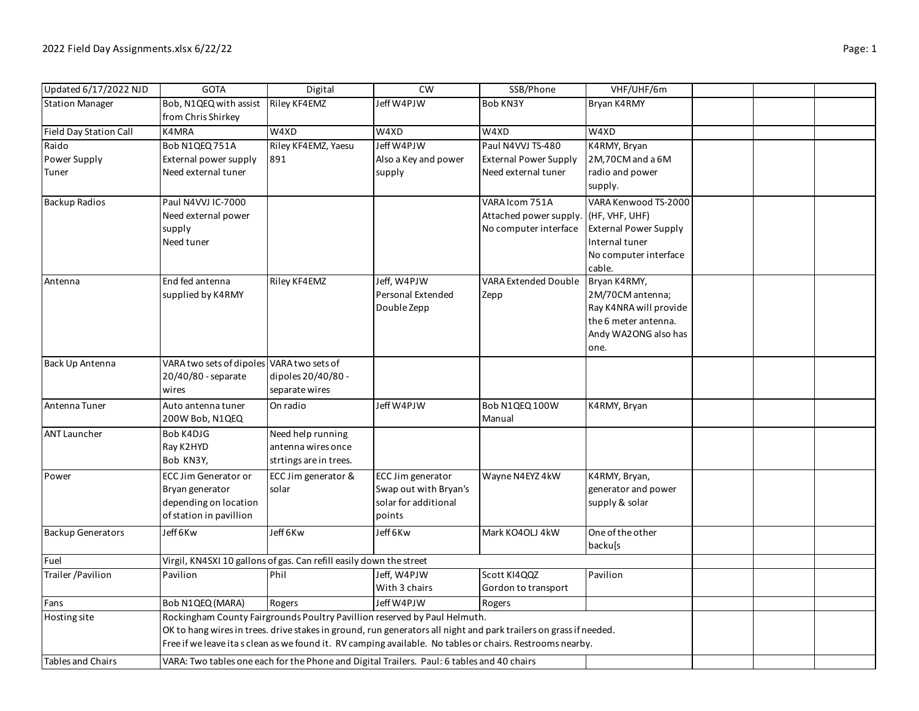| Updated 6/17/2022 NJD    | <b>GOTA</b>                                                                                                       | Digital                | CW                    | SSB/Phone                    | VHF/UHF/6m                   |  |  |  |
|--------------------------|-------------------------------------------------------------------------------------------------------------------|------------------------|-----------------------|------------------------------|------------------------------|--|--|--|
| <b>Station Manager</b>   | Bob, N1QEQ with assist                                                                                            | Riley KF4EMZ           | Jeff W4PJW            | Bob KN3Y                     | Bryan K4RMY                  |  |  |  |
|                          | from Chris Shirkey                                                                                                |                        |                       |                              |                              |  |  |  |
| Field Day Station Call   | K4MRA                                                                                                             | W4XD                   | W4XD                  | W4XD                         | W4XD                         |  |  |  |
| Raido                    | Bob N1QEQ 751A                                                                                                    | Riley KF4EMZ, Yaesu    | Jeff W4PJW            | Paul N4VVJ TS-480            | K4RMY, Bryan                 |  |  |  |
| Power Supply             | External power supply                                                                                             | 891                    | Also a Key and power  | <b>External Power Supply</b> | 2M,70CM and a 6M             |  |  |  |
| Tuner                    | Need external tuner                                                                                               |                        | supply                | Need external tuner          | radio and power              |  |  |  |
|                          |                                                                                                                   |                        |                       |                              | supply.                      |  |  |  |
| <b>Backup Radios</b>     | Paul N4VVJ IC-7000                                                                                                |                        |                       | VARA Icom 751A               | VARA Kenwood TS-2000         |  |  |  |
|                          | Need external power                                                                                               |                        |                       | Attached power supply.       | (HF, VHF, UHF)               |  |  |  |
|                          | supply                                                                                                            |                        |                       | No computer interface        | <b>External Power Supply</b> |  |  |  |
|                          | Need tuner                                                                                                        |                        |                       |                              | Internal tuner               |  |  |  |
|                          |                                                                                                                   |                        |                       |                              | No computer interface        |  |  |  |
|                          |                                                                                                                   |                        |                       |                              | cable.                       |  |  |  |
| Antenna                  | End fed antenna                                                                                                   | Riley KF4EMZ           | Jeff, W4PJW           | <b>VARA Extended Double</b>  | Bryan K4RMY,                 |  |  |  |
|                          | supplied by K4RMY                                                                                                 |                        | Personal Extended     | Zepp                         | 2M/70CM antenna;             |  |  |  |
|                          |                                                                                                                   |                        | Double Zepp           |                              | Ray K4NRA will provide       |  |  |  |
|                          |                                                                                                                   |                        |                       |                              | the 6 meter antenna.         |  |  |  |
|                          |                                                                                                                   |                        |                       |                              | Andy WA2ONG also has         |  |  |  |
|                          |                                                                                                                   |                        |                       |                              | one.                         |  |  |  |
| Back Up Antenna          | VARA two sets of dipoles VARA two sets of                                                                         |                        |                       |                              |                              |  |  |  |
|                          | 20/40/80 - separate                                                                                               | dipoles 20/40/80 -     |                       |                              |                              |  |  |  |
|                          | wires                                                                                                             | separate wires         |                       |                              |                              |  |  |  |
| Antenna Tuner            | Auto antenna tuner                                                                                                | On radio               | Jeff W4PJW            | Bob N1QEQ 100W               | K4RMY, Bryan                 |  |  |  |
|                          | 200W Bob, N1QEQ                                                                                                   |                        |                       | Manual                       |                              |  |  |  |
| <b>ANT Launcher</b>      | Bob K4DJG                                                                                                         | Need help running      |                       |                              |                              |  |  |  |
|                          | Ray K2HYD                                                                                                         | antenna wires once     |                       |                              |                              |  |  |  |
|                          | Bob KN3Y,                                                                                                         | strtings are in trees. |                       |                              |                              |  |  |  |
| Power                    | <b>ECC Jim Generator or</b>                                                                                       | ECC Jim generator &    | ECC Jim generator     | Wayne N4EYZ 4kW              | K4RMY, Bryan,                |  |  |  |
|                          | Bryan generator                                                                                                   | solar                  | Swap out with Bryan's |                              | generator and power          |  |  |  |
|                          | depending on location                                                                                             |                        | solar for additional  |                              | supply & solar               |  |  |  |
|                          | of station in pavillion                                                                                           |                        | points                |                              |                              |  |  |  |
| <b>Backup Generators</b> | Jeff 6Kw                                                                                                          | Jeff 6Kw               | Jeff 6Kw              | Mark KO4OLJ 4kW              | One of the other             |  |  |  |
|                          |                                                                                                                   |                        |                       |                              | backu[s                      |  |  |  |
| Fuel                     | Virgil, KN4SXI 10 gallons of gas. Can refill easily down the street                                               |                        |                       |                              |                              |  |  |  |
| Trailer / Pavilion       | Pavilion                                                                                                          | Phil                   | Jeff, W4PJW           | Scott KI4QQZ                 | Pavilion                     |  |  |  |
|                          |                                                                                                                   |                        | With 3 chairs         | Gordon to transport          |                              |  |  |  |
| Fans                     | Bob N1QEQ (MARA)                                                                                                  | Rogers                 | Jeff W4PJW            | Rogers                       |                              |  |  |  |
| Hosting site             | Rockingham County Fairgrounds Poultry Pavillion reserved by Paul Helmuth.                                         |                        |                       |                              |                              |  |  |  |
|                          | OK to hang wires in trees. drive stakes in ground, run generators all night and park trailers on grass if needed. |                        |                       |                              |                              |  |  |  |
|                          | Free if we leave ita s clean as we found it. RV camping available. No tables or chairs. Restrooms nearby.         |                        |                       |                              |                              |  |  |  |
| <b>Tables and Chairs</b> | VARA: Two tables one each for the Phone and Digital Trailers. Paul: 6 tables and 40 chairs                        |                        |                       |                              |                              |  |  |  |